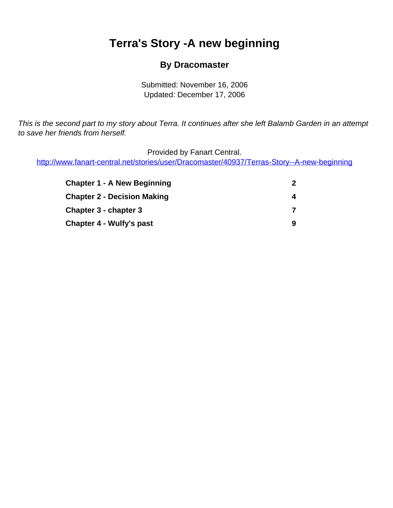# <span id="page-0-0"></span>**Terra's Story -A new beginning**

### **By Dracomaster**

Submitted: November 16, 2006 Updated: December 17, 2006

This is the second part to my story about Terra. It continues after she left Balamb Garden in an attempt to save her friends from herself.

Provided by Fanart Central.

[http://www.fanart-central.net/stories/user/Dracomaster/40937/Terras-Story--A-new-beginning](#page-0-0)

| <b>Chapter 1 - A New Beginning</b> | 2<br>4<br>7<br>9 |
|------------------------------------|------------------|
| <b>Chapter 2 - Decision Making</b> |                  |
| Chapter 3 - chapter 3              |                  |
| Chapter 4 - Wulfy's past           |                  |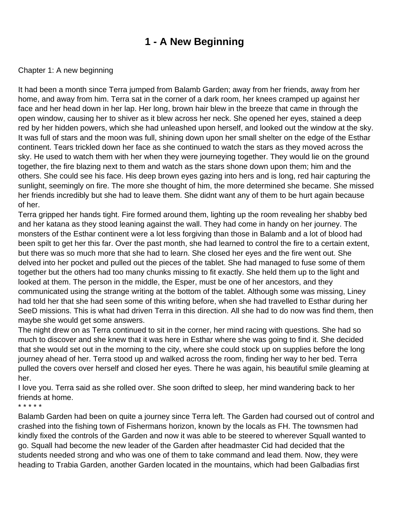## **1 - A New Beginning**

### <span id="page-1-0"></span>Chapter 1: A new beginning

It had been a month since Terra jumped from Balamb Garden; away from her friends, away from her home, and away from him. Terra sat in the corner of a dark room, her knees cramped up against her face and her head down in her lap. Her long, brown hair blew in the breeze that came in through the open window, causing her to shiver as it blew across her neck. She opened her eyes, stained a deep red by her hidden powers, which she had unleashed upon herself, and looked out the window at the sky. It was full of stars and the moon was full, shining down upon her small shelter on the edge of the Esthar continent. Tears trickled down her face as she continued to watch the stars as they moved across the sky. He used to watch them with her when they were journeying together. They would lie on the ground together, the fire blazing next to them and watch as the stars shone down upon them; him and the others. She could see his face. His deep brown eyes gazing into hers and is long, red hair capturing the sunlight, seemingly on fire. The more she thought of him, the more determined she became. She missed her friends incredibly but she had to leave them. She didn t want any of them to be hurt again because of her.

Terra gripped her hands tight. Fire formed around them, lighting up the room revealing her shabby bed and her katana as they stood leaning against the wall. They had come in handy on her journey. The monsters of the Esthar continent were a lot less forgiving than those in Balamb and a lot of blood had been spilt to get her this far. Over the past month, she had learned to control the fire to a certain extent, but there was so much more that she had to learn. She closed her eyes and the fire went out. She delved into her pocket and pulled out the pieces of the tablet. She had managed to fuse some of them together but the others had too many chunks missing to fit exactly. She held them up to the light and looked at them. The person in the middle, the Esper, must be one of her ancestors, and they communicated using the strange writing at the bottom of the tablet. Although some was missing, Liney had told her that she had seen some of this writing before, when she had travelled to Esthar during her SeeD missions. This is what had driven Terra in this direction. All she had to do now was find them, then maybe she would get some answers.

The night drew on as Terra continued to sit in the corner, her mind racing with questions. She had so much to discover and she knew that it was here in Esthar where she was going to find it. She decided that she would set out in the morning to the city, where she could stock up on supplies before the long journey ahead of her. Terra stood up and walked across the room, finding her way to her bed. Terra pulled the covers over herself and closed her eyes. There he was again, his beautiful smile gleaming at her.

I love you. Terra said as she rolled over. She soon drifted to sleep, her mind wandering back to her friends at home.

\* \* \* \* \*

Balamb Garden had been on quite a journey since Terra left. The Garden had coursed out of control and crashed into the fishing town of Fisherman s horizon, known by the locals as FH. The townsmen had kindly fixed the controls of the Garden and now it was able to be steered to wherever Squall wanted to go. Squall had become the new leader of the Garden after headmaster Cid had decided that the students needed strong and who was one of them to take command and lead them. Now, they were heading to Trabia Garden, another Garden located in the mountains, which had been Galbadia s first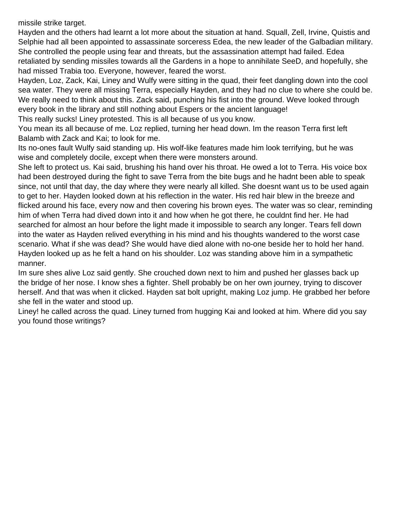missile strike target.

Hayden and the others had learnt a lot more about the situation at hand. Squall, Zell, Irvine, Quistis and Selphie had all been appointed to assassinate sorceress Edea, the new leader of the Galbadian military. She controlled the people using fear and threats, but the assassination attempt had failed. Edea retaliated by sending missiles towards all the Gardens in a hope to annihilate SeeD, and hopefully, she had missed Trabia too. Everyone, however, feared the worst.

Hayden, Loz, Zack, Kai, Liney and Wulfy were sitting in the quad, their feet dangling down into the cool sea water. They were all missing Terra, especially Hayden, and they had no clue to where she could be. We really need to think about this. Zack said, punching his fist into the ground. We ve looked through every book in the library and still nothing about Espers or the ancient language!

This really sucks! Liney protested. This is all because of us you know.

You mean it s all because of me. Loz replied, turning her head down. I m the reason Terra first left Balamb with Zack and Kai; to look for me.

It s no-one s fault Wulfy said standing up. His wolf-like features made him look terrifying, but he was wise and completely docile, except when there were monsters around.

She left to protect us. Kai said, brushing his hand over his throat. He owed a lot to Terra. His voice box had been destroyed during the fight to save Terra from the bite bugs and he hadn t been able to speak since, not until that day, the day where they were nearly all killed. She doesn t want us to be used again to get to her. Hayden looked down at his reflection in the water. His red hair blew in the breeze and flicked around his face, every now and then covering his brown eyes. The water was so clear, reminding him of when Terra had dived down into it and how when he got there, he couldn t find her. He had searched for almost an hour before the light made it impossible to search any longer. Tears fell down into the water as Hayden relived everything in his mind and his thoughts wandered to the worst case scenario. What if she was dead? She would have died alone with no-one beside her to hold her hand. Hayden looked up as he felt a hand on his shoulder. Loz was standing above him in a sympathetic manner.

I m sure she s alive Loz said gently. She crouched down next to him and pushed her glasses back up the bridge of her nose. I know she s a fighter. She II probably be on her own journey, trying to discover herself. And that was when it clicked. Hayden sat bolt upright, making Loz jump. He grabbed her before she fell in the water and stood up.

Liney! he called across the quad. Liney turned from hugging Kai and looked at him. Where did you say you found those writings?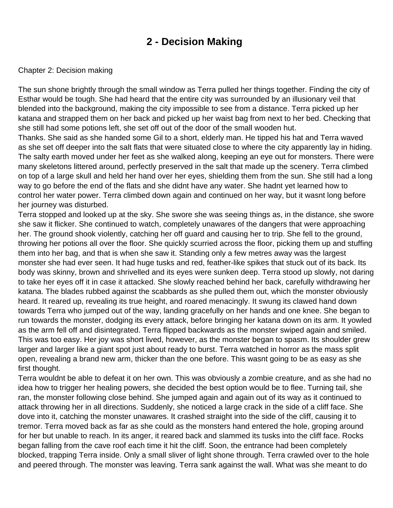### **2 - Decision Making**

#### <span id="page-3-0"></span>Chapter 2: Decision making

The sun shone brightly through the small window as Terra pulled her things together. Finding the city of Esthar would be tough. She had heard that the entire city was surrounded by an illusionary veil that blended into the background, making the city impossible to see from a distance. Terra picked up her katana and strapped them on her back and picked up her waist bag from next to her bed. Checking that she still had some potions left, she set off out of the door of the small wooden hut.

Thanks. She said as she handed some Gil to a short, elderly man. He tipped his hat and Terra waved as she set off deeper into the salt flats that were situated close to where the city apparently lay in hiding. The salty earth moved under her feet as she walked along, keeping an eye out for monsters. There were many skeletons littered around, perfectly preserved in the salt that made up the scenery. Terra climbed on top of a large skull and held her hand over her eyes, shielding them from the sun. She still had a long way to go before the end of the flats and she didn t have any water. She hadn t yet learned how to control her water power. Terra climbed down again and continued on her way, but it wasnt long before her journey was disturbed.

Terra stopped and looked up at the sky. She swore she was seeing things as, in the distance, she swore she saw it flicker. She continued to watch, completely unawares of the dangers that were approaching her. The ground shook violently, catching her off guard and causing her to trip. She fell to the ground, throwing her potions all over the floor. She quickly scurried across the floor, picking them up and stuffing them into her bag, and that is when she saw it. Standing only a few metres away was the largest monster she had ever seen. It had huge tusks and red, feather-like spikes that stuck out of its back. Its body was skinny, brown and shrivelled and its eyes were sunken deep. Terra stood up slowly, not daring to take her eyes off it in case it attacked. She slowly reached behind her back, carefully withdrawing her katana. The blades rubbed against the scabbards as she pulled them out, which the monster obviously heard. It reared up, revealing its true height, and roared menacingly. It swung its clawed hand down towards Terra who jumped out of the way, landing gracefully on her hands and one knee. She began to run towards the monster, dodging its every attack, before bringing her katana down on its arm. It yowled as the arm fell off and disintegrated. Terra flipped backwards as the monster swiped again and smiled. This was too easy. Her joy was short lived, however, as the monster began to spasm. Its shoulder grew larger and larger like a giant spot just about ready to burst. Terra watched in horror as the mass split open, revealing a brand new arm, thicker than the one before. This wasnt going to be as easy as she first thought.

Terra wouldn t be able to defeat it on her own. This was obviously a zombie creature, and as she had no idea how to trigger her healing powers, she decided the best option would be to flee. Turning tail, she ran, the monster following close behind. She jumped again and again out of its way as it continued to attack throwing her in all directions. Suddenly, she noticed a large crack in the side of a cliff face. She dove into it, catching the monster unawares. It crashed straight into the side of the cliff, causing it to tremor. Terra moved back as far as she could as the monsters hand entered the hole, groping around for her but unable to reach. In its anger, it reared back and slammed its tusks into the cliff face. Rocks began falling from the cave roof each time it hit the cliff. Soon, the entrance had been completely blocked, trapping Terra inside. Only a small sliver of light shone through. Terra crawled over to the hole and peered through. The monster was leaving. Terra sank against the wall. What was she meant to do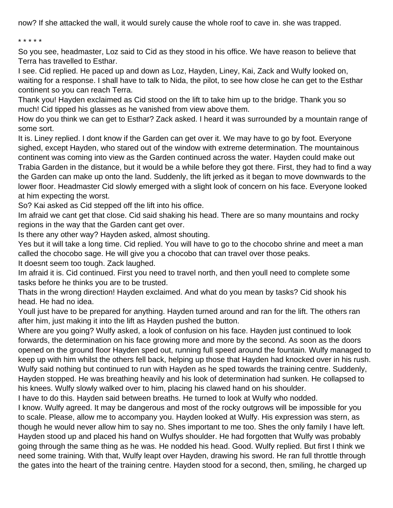now? If she attacked the wall, it would surely cause the whole roof to cave in. she was trapped.

#### \* \* \* \* \*

So you see, headmaster, Loz said to Cid as they stood in his office. We have reason to believe that Terra has travelled to Esthar.

I see. Cid replied. He paced up and down as Loz, Hayden, Liney, Kai, Zack and Wulfy looked on, waiting for a response. I shall have to talk to Nida, the pilot, to see how close he can get to the Esthar continent so you can reach Terra.

Thank you! Hayden exclaimed as Cid stood on the lift to take him up to the bridge. Thank you so much! Cid tipped his glasses as he vanished from view above them.

How do you think we can get to Esthar? Zack asked. I heard it was surrounded by a mountain range of some sort.

It is. Liney replied. I don t know if the Garden can get over it. We may have to go by foot. Everyone sighed, except Hayden, who stared out of the window with extreme determination. The mountainous continent was coming into view as the Garden continued across the water. Hayden could make out Trabia Garden in the distance, but it would be a while before they got there. First, they had to find a way the Garden can make up onto the land. Suddenly, the lift jerked as it began to move downwards to the lower floor. Headmaster Cid slowly emerged with a slight look of concern on his face. Everyone looked at him expecting the worst.

So? Kai asked as Cid stepped off the lift into his office.

I m afraid we can t get that close. Cid said shaking his head. There are so many mountains and rocky regions in the way that the Garden can t get over.

Is there any other way? Hayden asked, almost shouting.

Yes but it will take a long time. Cid replied. You will have to go to the chocobo shrine and meet a man called the chocobo sage. He will give you a chocobo that can travel over those peaks.

It doesn t seem too tough. Zack laughed.

I m afraid it is. Cid continued. First you need to travel north, and then you II need to complete some tasks before he thinks you are to be trusted.

That s in the wrong direction! Hayden exclaimed. And what do you mean by tasks? Cid shook his head. He had no idea.

You II just have to be prepared for anything. Hayden turned around and ran for the lift. The others ran after him, just making it into the lift as Hayden pushed the button.

Where are you going? Wulfy asked, a look of confusion on his face. Hayden just continued to look forwards, the determination on his face growing more and more by the second. As soon as the doors opened on the ground floor Hayden sped out, running full speed around the fountain. Wulfy managed to keep up with him whilst the others fell back, helping up those that Hayden had knocked over in his rush. Wulfy said nothing but continued to run with Hayden as he sped towards the training centre. Suddenly, Hayden stopped. He was breathing heavily and his look of determination had sunken. He collapsed to his knees. Wulfy slowly walked over to him, placing his clawed hand on his shoulder.

I have to do this. Hayden said between breaths. He turned to look at Wulfy who nodded.

I know. Wulfy agreed. It may be dangerous and most of the rocky outgrows will be impossible for you to scale. Please, allow me to accompany you. Hayden looked at Wulfy. His expression was stern, as though he would never allow him to say no. Shes important to me too. Shes the only family I have left. Hayden stood up and placed his hand on Wulfy s shoulder. He had forgotten that Wulfy was probably going through the same thing as he was. He nodded his head. Good. Wulfy replied. But first I think we need some training. With that, Wulfy leapt over Hayden, drawing his sword. He ran full throttle through the gates into the heart of the training centre. Hayden stood for a second, then, smiling, he charged up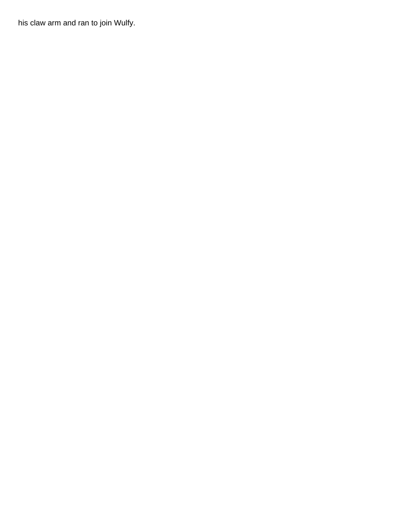his claw arm and ran to join Wulfy.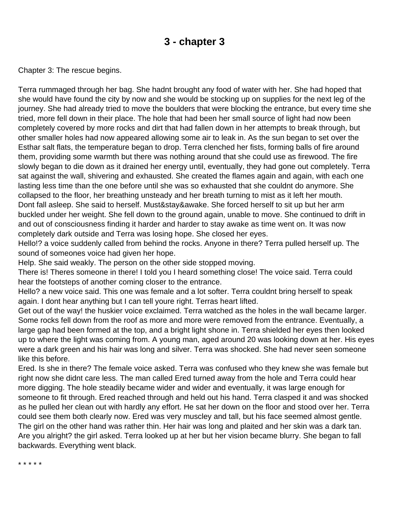### **3 - chapter 3**

<span id="page-6-0"></span>Chapter 3: The rescue begins.

Terra rummaged through her bag. She hadn t brought any food of water with her. She had hoped that she would have found the city by now and she would be stocking up on supplies for the next leg of the journey. She had already tried to move the boulders that were blocking the entrance, but every time she tried, more fell down in their place. The hole that had been her small source of light had now been completely covered by more rocks and dirt that had fallen down in her attempts to break through, but other smaller holes had now appeared allowing some air to leak in. As the sun began to set over the Esthar salt flats, the temperature began to drop. Terra clenched her fists, forming balls of fire around them, providing some warmth but there was nothing around that she could use as firewood. The fire slowly began to die down as it drained her energy until, eventually, they had gone out completely. Terra sat against the wall, shivering and exhausted. She created the flames again and again, with each one lasting less time than the one before until she was so exhausted that she couldn t do anymore. She collapsed to the floor, her breathing unsteady and her breath turning to mist as it left her mouth. Dont fall asleep. She said to herself. Must&stay&awake. She forced herself to sit up but her arm buckled under her weight. She fell down to the ground again, unable to move. She continued to drift in and out of consciousness finding it harder and harder to stay awake as time went on. It was now completely dark outside and Terra was losing hope. She closed her eyes.

Hello!? a voice suddenly called from behind the rocks. Anyone in there? Terra pulled herself up. The sound of someone s voice had given her hope.

Help. She said weakly. The person on the other side stopped moving.

There is! There s someone in there! I told you I heard something close! The voice said. Terra could hear the footsteps of another coming closer to the entrance.

Hello? a new voice said. This one was female and a lot softer. Terra couldn t bring herself to speak again. I don t hear anything but I can tell you re right. Terra s heart lifted.

Get out of the way! the huskier voice exclaimed. Terra watched as the holes in the wall became larger. Some rocks fell down from the roof as more and more were removed from the entrance. Eventually, a large gap had been formed at the top, and a bright light shone in. Terra shielded her eyes then looked up to where the light was coming from. A young man, aged around 20 was looking down at her. His eyes were a dark green and his hair was long and silver. Terra was shocked. She had never seen someone like this before.

Ered. Is she in there? The female voice asked. Terra was confused who they knew she was female but right now she didn t care less. The man called Ered turned away from the hole and Terra could hear more digging. The hole steadily became wider and wider and eventually, it was large enough for someone to fit through. Ered reached through and held out his hand. Terra clasped it and was shocked as he pulled her clean out with hardly any effort. He sat her down on the floor and stood over her. Terra could see them both clearly now. Ered was very muscley and tall, but his face seemed almost gentle. The girl on the other hand was rather thin. Her hair was long and plaited and her skin was a dark tan. Are you alright? the girl asked. Terra looked up at her but her vision became blurry. She began to fall backwards. Everything went black.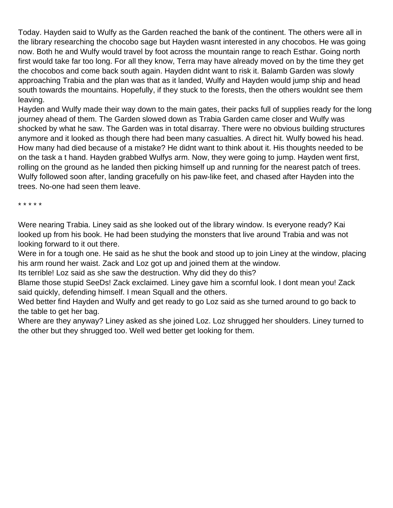Today. Hayden said to Wulfy as the Garden reached the bank of the continent. The others were all in the library researching the chocobo sage but Hayden wasn t interested in any chocobos. He was going now. Both he and Wulfy would travel by foot across the mountain range to reach Esthar. Going north first would take far too long. For all they know, Terra may have already moved on by the time they get the chocobos and come back south again. Hayden didn t want to risk it. Balamb Garden was slowly approaching Trabia and the plan was that as it landed, Wulfy and Hayden would jump ship and head south towards the mountains. Hopefully, if they stuck to the forests, then the others wouldn t see them leaving.

Hayden and Wulfy made their way down to the main gates, their packs full of supplies ready for the long journey ahead of them. The Garden slowed down as Trabia Garden came closer and Wulfy was shocked by what he saw. The Garden was in total disarray. There were no obvious building structures anymore and it looked as though there had been many casualties. A direct hit. Wulfy bowed his head. How many had died because of a mistake? He didn t want to think about it. His thoughts needed to be on the task a t hand. Hayden grabbed Wulfy s arm. Now, they were going to jump. Hayden went first, rolling on the ground as he landed then picking himself up and running for the nearest patch of trees. Wulfy followed soon after, landing gracefully on his paw-like feet, and chased after Hayden into the trees. No-one had seen them leave.

\* \* \* \* \*

We re nearing Trabia. Liney said as she looked out of the library window. Is everyone ready? Kai looked up from his book. He had been studying the monsters that live around Trabia and was not looking forward to it out there.

We re in for a tough one. He said as he shut the book and stood up to join Liney at the window, placing his arm round her waist. Zack and Loz got up and joined them at the window.

It s terrible! Loz said as she saw the destruction. Why did they do this?

Blame those stupid SeeD s! Zack exclaimed. Liney gave him a scornful look. I don t mean you! Zack said quickly, defending himself. I mean Squall and the others.

We d better find Hayden and Wulfy and get ready to go Loz said as she turned around to go back to the table to get her bag.

Where are they anyway? Liney asked as she joined Loz. Loz shrugged her shoulders. Liney turned to the other but they shrugged too. Well we d better get looking for them.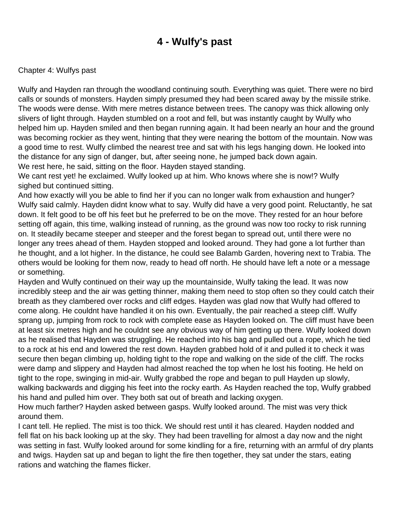### **4 - Wulfy's past**

#### <span id="page-8-0"></span>Chapter 4: Wulfy s past

Wulfy and Hayden ran through the woodland continuing south. Everything was quiet. There were no bird calls or sounds of monsters. Hayden simply presumed they had been scared away by the missile strike. The woods were dense. With mere metres distance between trees. The canopy was thick allowing only slivers of light through. Hayden stumbled on a root and fell, but was instantly caught by Wulfy who helped him up. Hayden smiled and then began running again. It had been nearly an hour and the ground was becoming rockier as they went, hinting that they were nearing the bottom of the mountain. Now was a good time to rest. Wulfy climbed the nearest tree and sat with his legs hanging down. He looked into the distance for any sign of danger, but, after seeing none, he jumped back down again. We rest here, he said, sitting on the floor. Hayden stayed standing.

We can t rest yet! he exclaimed. Wulfy looked up at him. Who knows where she is now!? Wulfy sighed but continued sitting.

And how exactly will you be able to find her if you can no longer walk from exhaustion and hunger? Wulfy said calmly. Hayden didn t know what to say. Wulfy did have a very good point. Reluctantly, he sat down. It felt good to be off his feet but he preferred to be on the move. They rested for an hour before setting off again, this time, walking instead of running, as the ground was now too rocky to risk running on. It steadily became steeper and steeper and the forest began to spread out, until there were no longer any trees ahead of them. Hayden stopped and looked around. They had gone a lot further than he thought, and a lot higher. In the distance, he could see Balamb Garden, hovering next to Trabia. The others would be looking for them now, ready to head off north. He should have left a note or a message or something.

Hayden and Wulfy continued on their way up the mountainside, Wulfy taking the lead. It was now incredibly steep and the air was getting thinner, making them need to stop often so they could catch their breath as they clambered over rocks and cliff edges. Hayden was glad now that Wulfy had offered to come along. He couldn t have handled it on his own. Eventually, the pair reached a steep cliff. Wulfy sprang up, jumping from rock to rock with complete ease as Hayden looked on. The cliff must have been at least six metres high and he couldn t see any obvious way of him getting up there. Wulfy looked down as he realised that Hayden was struggling. He reached into his bag and pulled out a rope, which he tied to a rock at his end and lowered the rest down. Hayden grabbed hold of it and pulled it to check it was secure then began climbing up, holding tight to the rope and walking on the side of the cliff. The rocks were damp and slippery and Hayden had almost reached the top when he lost his footing. He held on tight to the rope, swinging in mid-air. Wulfy grabbed the rope and began to pull Hayden up slowly, walking backwards and digging his feet into the rocky earth. As Hayden reached the top, Wulfy grabbed his hand and pulled him over. They both sat out of breath and lacking oxygen.

How much farther? Hayden asked between gasps. Wulfy looked around. The mist was very thick around them.

I cant tell. He replied. The mist is too thick. We should rest until it has cleared. Hayden nodded and fell flat on his back looking up at the sky. They had been travelling for almost a day now and the night was setting in fast. Wulfy looked around for some kindling for a fire, returning with an armful of dry plants and twigs. Hayden sat up and began to light the fire then together, they sat under the stars, eating rations and watching the flames flicker.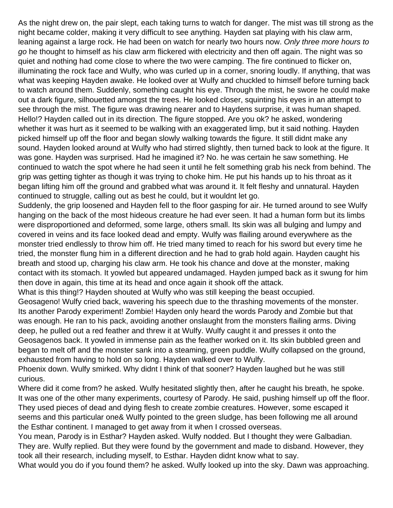As the night drew on, the pair slept, each taking turns to watch for danger. The mist was till strong as the night became colder, making it very difficult to see anything. Hayden sat playing with his claw arm, leaning against a large rock. He had been on watch for nearly two hours now. Only three more hours to go he thought to himself as his claw arm flickered with electricity and then off again. The night was so quiet and nothing had come close to where the two were camping. The fire continued to flicker on, illuminating the rock face and Wulfy, who was curled up in a corner, snoring loudly. If anything, that was what was keeping Hayden awake. He looked over at Wulfy and chuckled to himself before turning back to watch around them. Suddenly, something caught his eye. Through the mist, he swore he could make out a dark figure, silhouetted amongst the trees. He looked closer, squinting his eyes in an attempt to see through the mist. The figure was drawing nearer and to Hayden s surprise, it was human shaped. Hello!? Hayden called out in its direction. The figure stopped. Are you ok? he asked, wondering whether it was hurt as it seemed to be walking with an exaggerated limp, but it said nothing. Hayden picked himself up off the floor and began slowly walking towards the figure. It still didnt make any sound. Hayden looked around at Wulfy who had stirred slightly, then turned back to look at the figure. It was gone. Hayden was surprised. Had he imagined it? No. he was certain he saw something. He continued to watch the spot where he had seen it until he felt something grab his neck from behind. The grip was getting tighter as though it was trying to choke him. He put his hands up to his throat as it began lifting him off the ground and grabbed what was around it. It felt fleshy and unnatural. Hayden continued to struggle, calling out as best he could, but it wouldnt let go.

Suddenly, the grip loosened and Hayden fell to the floor gasping for air. He turned around to see Wulfy hanging on the back of the most hideous creature he had ever seen. It had a human form but its limbs were disproportioned and deformed, some large, others small. Its skin was all bulging and lumpy and covered in veins and its face looked dead and empty. Wulfy was flailing around everywhere as the monster tried endlessly to throw him off. He tried many timed to reach for his sword but every time he tried, the monster flung him in a different direction and he had to grab hold again. Hayden caught his breath and stood up, charging his claw arm. He took his chance and dove at the monster, making contact with its stomach. It yowled but appeared undamaged. Hayden jumped back as it swung for him then dove in again, this time at its head and once again it shook off the attack.

What is this thing!? Hayden shouted at Wulfy who was still keeping the beast occupied.

Geosageno! Wulfy cried back, wavering his speech due to the thrashing movements of the monster. Its another Parody experiment! Zombie! Hayden only heard the words Parody and Zombie but that was enough. He ran to his pack, avoiding another onslaught from the monster s flailing arms. Diving deep, he pulled out a red feather and threw it at Wulfy. Wulfy caught it and presses it onto the Geosageno s back. It yowled in immense pain as the feather worked on it. Its skin bubbled green and began to melt off and the monster sank into a steaming, green puddle. Wulfy collapsed on the ground, exhausted from having to hold on so long. Hayden walked over to Wulfy.

Phoenix down. Wulfy smirked. Why didn t I think of that sooner? Hayden laughed but he was still curious.

Where did it come from? he asked. Wulfy hesitated slightly then, after he caught his breath, he spoke. It was one of the other many experiments, courtesy of Parody. He said, pushing himself up off the floor. They used pieces of dead and dying flesh to create zombie creatures. However, some escaped it seems and this particular one& Wulfy pointed to the green sludge, has been following me all around the Esthar continent. I managed to get away from it when I crossed overseas.

You mean, Parody is in Esthar? Hayden asked. Wulfy nodded. But I thought they were Galbadian. They are. Wulfy replied. But they were found by the government and made to disband. However, they took all their research, including myself, to Esthar. Hayden didnt know what to say.

What would you do if you found them? he asked. Wulfy looked up into the sky. Dawn was approaching.